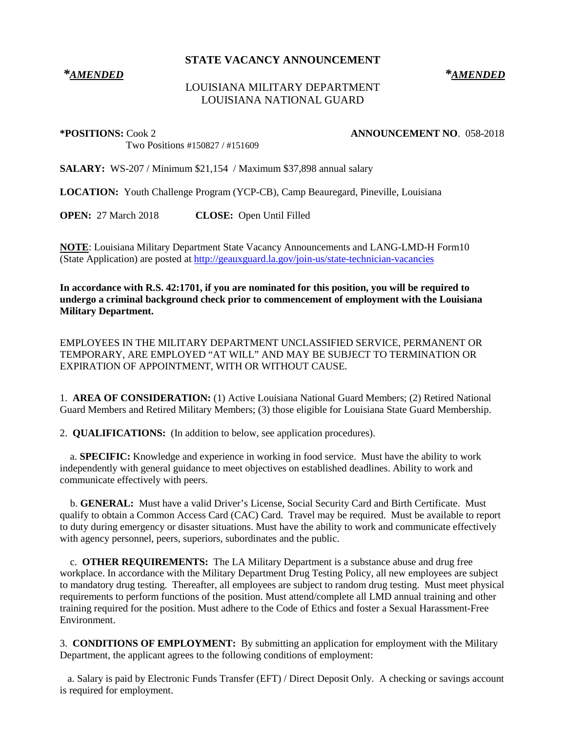**STATE VACANCY ANNOUNCEMENT**

## *\*AMENDED \*AMENDED*

## LOUISIANA MILITARY DEPARTMENT LOUISIANA NATIONAL GUARD

**\*POSITIONS:** Cook 2 **ANNOUNCEMENT NO**. 058-2018

Two Positions #150827 / #151609

**SALARY:** WS-207 / Minimum \$21,154 / Maximum \$37,898 annual salary

**LOCATION:** Youth Challenge Program (YCP-CB), Camp Beauregard, Pineville, Louisiana

**OPEN:** 27 March 2018 **CLOSE:** Open Until Filled

**NOTE**: Louisiana Military Department State Vacancy Announcements and LANG-LMD-H Form10 (State Application) are posted at<http://geauxguard.la.gov/join-us/state-technician-vacancies>

**In accordance with R.S. 42:1701, if you are nominated for this position, you will be required to undergo a criminal background check prior to commencement of employment with the Louisiana Military Department.** 

EMPLOYEES IN THE MILITARY DEPARTMENT UNCLASSIFIED SERVICE, PERMANENT OR TEMPORARY, ARE EMPLOYED "AT WILL" AND MAY BE SUBJECT TO TERMINATION OR EXPIRATION OF APPOINTMENT, WITH OR WITHOUT CAUSE.

1. **AREA OF CONSIDERATION:** (1) Active Louisiana National Guard Members; (2) Retired National Guard Members and Retired Military Members; (3) those eligible for Louisiana State Guard Membership.

2. **QUALIFICATIONS:** (In addition to below, see application procedures).

 a. **SPECIFIC:** Knowledge and experience in working in food service. Must have the ability to work independently with general guidance to meet objectives on established deadlines. Ability to work and communicate effectively with peers.

 b. **GENERAL:** Must have a valid Driver's License, Social Security Card and Birth Certificate. Must qualify to obtain a Common Access Card (CAC) Card. Travel may be required. Must be available to report to duty during emergency or disaster situations. Must have the ability to work and communicate effectively with agency personnel, peers, superiors, subordinates and the public.

 c. **OTHER REQUIREMENTS:** The LA Military Department is a substance abuse and drug free workplace. In accordance with the Military Department Drug Testing Policy, all new employees are subject to mandatory drug testing. Thereafter, all employees are subject to random drug testing. Must meet physical requirements to perform functions of the position. Must attend/complete all LMD annual training and other training required for the position. Must adhere to the Code of Ethics and foster a Sexual Harassment-Free Environment.

3. **CONDITIONS OF EMPLOYMENT:** By submitting an application for employment with the Military Department, the applicant agrees to the following conditions of employment:

 a. Salary is paid by Electronic Funds Transfer (EFT) / Direct Deposit Only. A checking or savings account is required for employment.